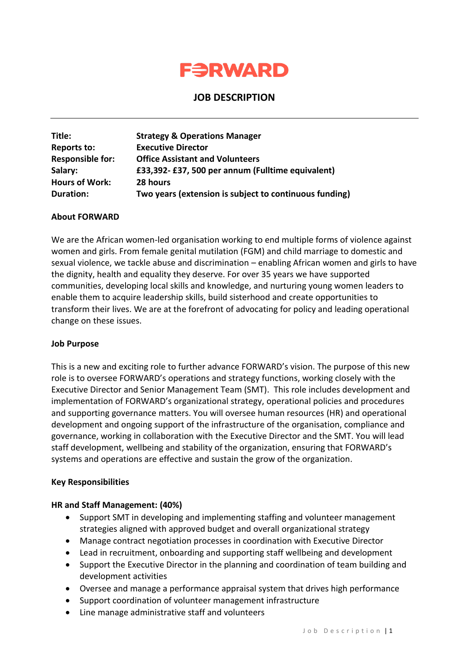

# **JOB DESCRIPTION**

| Title:                  | <b>Strategy &amp; Operations Manager</b>               |
|-------------------------|--------------------------------------------------------|
| <b>Reports to:</b>      | <b>Executive Director</b>                              |
| <b>Responsible for:</b> | <b>Office Assistant and Volunteers</b>                 |
| Salary:                 | £33,392-£37,500 per annum (Fulltime equivalent)        |
| <b>Hours of Work:</b>   | 28 hours                                               |
| Duration:               | Two years (extension is subject to continuous funding) |

## **About FORWARD**

We are the African women-led organisation working to end multiple forms of violence against women and girls. From female genital mutilation (FGM) and child marriage to domestic and sexual violence, we tackle abuse and discrimination – enabling African women and girls to have the dignity, health and equality they deserve. For over 35 years we have supported communities, developing local skills and knowledge, and nurturing young women leaders to enable them to acquire leadership skills, build sisterhood and create opportunities to transform their lives. We are at the forefront of advocating for policy and leading operational change on these issues.

## **Job Purpose**

This is a new and exciting role to further advance FORWARD's vision. The purpose of this new role is to oversee FORWARD's operations and strategy functions, working closely with the Executive Director and Senior Management Team (SMT). This role includes development and implementation of FORWARD's organizational strategy, operational policies and procedures and supporting governance matters. You will oversee human resources (HR) and operational development and ongoing support of the infrastructure of the organisation, compliance and governance, working in collaboration with the Executive Director and the SMT. You will lead staff development, wellbeing and stability of the organization, ensuring that FORWARD's systems and operations are effective and sustain the grow of the organization.

## **Key Responsibilities**

## **HR and Staff Management: (40%)**

- Support SMT in developing and implementing staffing and volunteer management strategies aligned with approved budget and overall organizational strategy
- Manage contract negotiation processes in coordination with Executive Director
- Lead in recruitment, onboarding and supporting staff wellbeing and development
- Support the Executive Director in the planning and coordination of team building and development activities
- Oversee and manage a performance appraisal system that drives high performance
- Support coordination of volunteer management infrastructure
- Line manage administrative staff and volunteers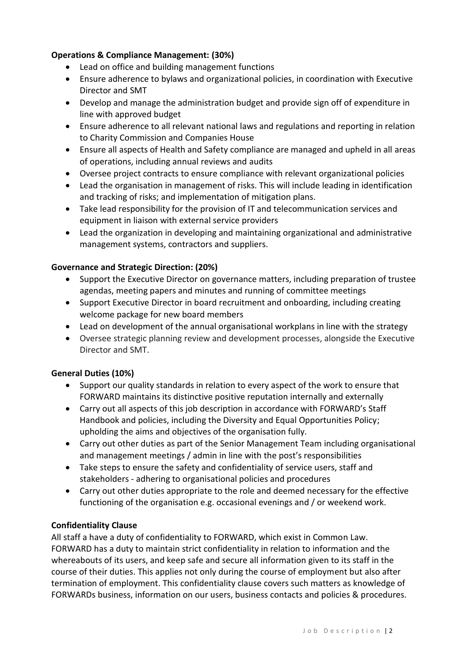## **Operations & Compliance Management: (30%)**

- Lead on office and building management functions
- Ensure adherence to bylaws and organizational policies, in coordination with Executive Director and SMT
- Develop and manage the administration budget and provide sign off of expenditure in line with approved budget
- Ensure adherence to all relevant national laws and regulations and reporting in relation to Charity Commission and Companies House
- Ensure all aspects of Health and Safety compliance are managed and upheld in all areas of operations, including annual reviews and audits
- Oversee project contracts to ensure compliance with relevant organizational policies
- Lead the organisation in management of risks. This will include leading in identification and tracking of risks; and implementation of mitigation plans.
- Take lead responsibility for the provision of IT and telecommunication services and equipment in liaison with external service providers
- Lead the organization in developing and maintaining organizational and administrative management systems, contractors and suppliers.

## **Governance and Strategic Direction: (20%)**

- Support the Executive Director on governance matters, including preparation of trustee agendas, meeting papers and minutes and running of committee meetings
- Support Executive Director in board recruitment and onboarding, including creating welcome package for new board members
- Lead on development of the annual organisational workplans in line with the strategy
- Oversee strategic planning review and development processes, alongside the Executive Director and SMT.

## **General Duties (10%)**

- Support our quality standards in relation to every aspect of the work to ensure that FORWARD maintains its distinctive positive reputation internally and externally
- Carry out all aspects of this job description in accordance with FORWARD's Staff Handbook and policies, including the Diversity and Equal Opportunities Policy; upholding the aims and objectives of the organisation fully.
- Carry out other duties as part of the Senior Management Team including organisational and management meetings / admin in line with the post's responsibilities
- Take steps to ensure the safety and confidentiality of service users, staff and stakeholders - adhering to organisational policies and procedures
- Carry out other duties appropriate to the role and deemed necessary for the effective functioning of the organisation e.g. occasional evenings and / or weekend work.

## **Confidentiality Clause**

All staff a have a duty of confidentiality to FORWARD, which exist in Common Law. FORWARD has a duty to maintain strict confidentiality in relation to information and the whereabouts of its users, and keep safe and secure all information given to its staff in the course of their duties. This applies not only during the course of employment but also after termination of employment. This confidentiality clause covers such matters as knowledge of FORWARDs business, information on our users, business contacts and policies & procedures.